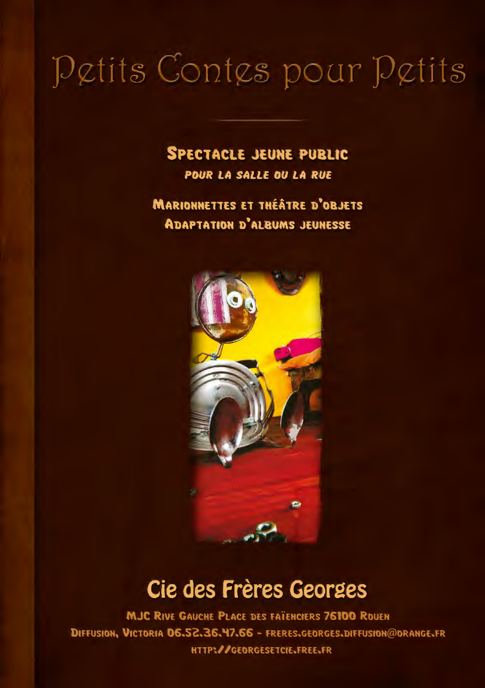#### **SPECTACLE JEUNE PUBLIC**

POUR LA SALLE OU LA RUE

**MARIONNETTES ET THÉÂTRE D'OBJETS ADAPTATION D'ALBUMS JEUNESSE** 



### Cie des Frères Georges

**MJC RIVE GAUCHE PLACE DES FAÏENCIERS 76100 ROUEN** DIFFUSION, VICTORIA 06.52.36.47.66 - FRERES.GEORGES.DIFFUSION@ORANGE.FR HTTP://GEORGESETCIE.FREE.FR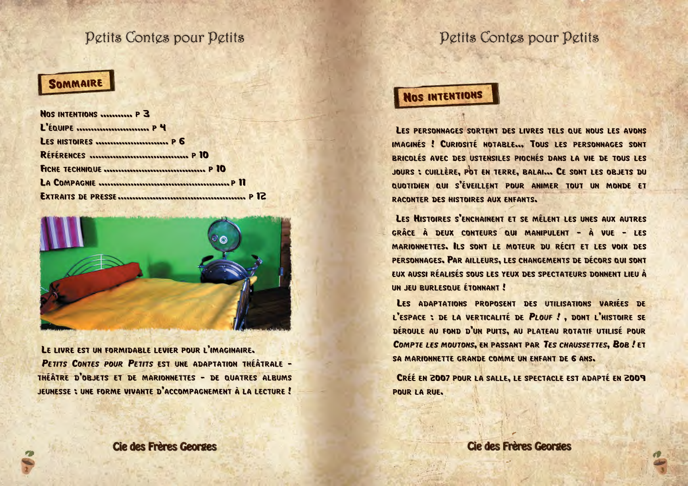#### SOMMAIRE

| NOS INTENTIONS  P 3 |  |
|---------------------|--|
| L'ÉQUIPE  P 4       |  |
| LES HISTOIRES  P 6  |  |
|                     |  |
|                     |  |
|                     |  |
|                     |  |



LE LIVRE EST UN FORMIDABLE LEVIER POUR L'IMAGINAIRE. PETITS CONTES POUR PETITS EST UNE ADAPTATION THÉÂTRALE -THÉÂTRE D'OBJETS ET DE MARIONNETTES - DE QUATRES ALBUMS JEUNESSE : UNE FORME VIVANTE D'ACCOMPAGNEMENT À LA LECTURE!

#### **Cie des Frères Georges**

### Petits Contes pour Petits

### NOS INTENTIONS

LES PERSONNAGES SORTENT DES LIVRES TELS QUE NOUS LES AVONS IMAGINÉS ! CURIOSITÉ NOTABLE... TOUS LES PERSONNAGES SONT BRICOLÉS AVEC DES USTENSILES PIOCHÉS DANS LA VIE DE TOUS LES JOURS ; CUILLÈRE, POT EN TERRE, BALAI... CE SONT LES OBJETS DU QUOTIDIEN QUI S'ÉVEILLENT POUR ANIMER TOUT UN MONDE ET RACONTER DES HISTOIRES AUX ENFANTS.

LES HISTOIRES S'ENCHAINENT ET SE MÊLENT LES UNES AUX AUTRES GRÂCE À DEUX CONTEURS QUI MANIPULENT - À VUE - LES MARIONNETTES, ILS SONT LE MOTEUR DU RÉCIT ET LES VOIX DES PERSONNAGES. PAR AILLEURS, LES CHANGEMENTS DE DÉCORS QUI SONT EUX AUSSI RÉALISÉS SOUS LES YEUX DES SPECTATEURS DONNENT LIEU À UN JEU BURLESQUE ÉTONNANT!

LES ADAPTATIONS PROPOSENT DES UTILISATIONS VARIÉES DE L'ESPACE : DE LA VERTICALITÉ DE PLOUF ! . DONT L'HISTOIRE SE DÉROULE AU FOND D'UN PUITS, AU PLATEAU ROTATIF UTILISÉ POUR COMPTE LES MOUTONS, EN PASSANT PAR TES CHAUSSETTES, BOB ! ET SA MARIONNETTE GRANDE COMME UN ENFANT DE 6 ANS.

CRÉÉ EN 2007 POUR LA SALLE, LE SPECTACLE EST ADAPTÉ EN 2009 **POUR LA RUE.**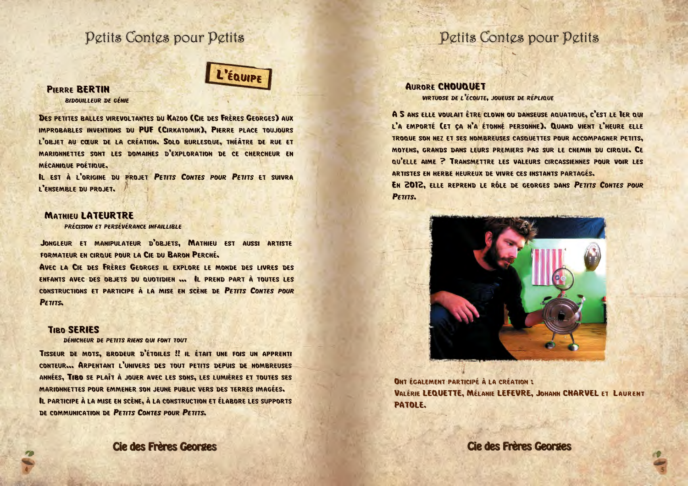

#### **PIERRE BERTIN RIDOUILLEUR DE GÉNIE**

DES PETITES BALLES VIREVOLTANTES DU KAZOO (CIE DES FRÈRES GEORGES) AUX IMPROBABLES INVENTIONS DU PUF (CIRKATOMIK), PIERRE PLACE TOUJOURS L'OBJET AU CŒUR DE LA CRÉATION. SOLO BURLESQUE, THÉÂTRE DE RUE ET MARIONNETTES SONT LES DOMAINES D'EXPLORATION DE CE CHERCHEUR EN MÉCANIQUE POÉTIQUE.

IL EST À L'ORIGINE DU PROJET PETITS CONTES POUR PETITS ET SUIVRA L'ENSEMBLE DU PROJET.

#### **MATHIEU LATEURTRE**

**PRÉCISION ET PERSÉVÉRANCE INFAILLIBLE** 

JONGLEUR ET MANIPULATEUR D'OBJETS, MATHIEU EST AUSSI ARTISTE FORMATEUR EN CIRQUE POUR LA CIE DU BARON PERCHÉ.

AVEC LA CIE DES FRÈRES GEORGES IL EXPLORE LE MONDE DES LIVRES DES ENFANTS AVEC DES OBJETS DU QUOTIDIEN ... IL PREND PART À TOUTES LES CONSTRUCTIONS ET PARTICIPE À LA MISE EN SCÈNE DE PETITS CONTES POUR PETITS.

#### **TIBO SERIES**

DÉNICHEUR DE PETITS RIENS QUI FONT TOUT

TISSEUR DE MOTS, BRODEUR D'ÉTOILES !! IL ÉTAIT UNE FOIS UN APPRENTI CONTEUR... ARPENTANT L'UNIVERS DES TOUT PETITS DEPUIS DE NOMBREUSES ANNÉES, TIBO SE PLAÎT À JOUER AVEC LES SONS, LES LUMIÈRES ET TOUTES SES MARIONNETTES POUR EMMENER SON JEUNE PUBLIC VERS DES TERRES IMAGÉES. IL PARTICIPE À LA MISE EN SCÈNE, À LA CONSTRUCTION ET ÉLABORE LES SUPPORTS DE COMMUNICATION DE PETITS CONTES POUR PETITS.

#### **Cie des Frères Georges**

### Petits Contes pour Petits

#### **AURORE CHOUQUET**

**VIRTUOSE DE L'ÉCOUTE, JOUEUSE DE RÉPLIQUE** 

A 5 ANS ELLE VOULAIT ÊTRE CLOWN OU DANSEUSE AQUATIQUE, C'EST LE TER QUI L'A EMPORTÉ (ET ÇA N'A ÉTONNÉ PERSONNE). QUAND VIENT L'HEURE ELLE TROQUE SON NEZ ET SES NOMBREUSES CASQUETTES POUR ACCOMPAGNER PETITS. MOYENS, GRANDS DANS LEURS PREMIERS PAS SUR LE CHEMIN DU CIRQUE, CE QU'ELLE AIME ? TRANSMETTRE LES VALEURS CIRCASSIENNES POUR VOIR LES ARTISTES EN HERBE HEUREUX DE VIVRE CES INSTANTS PARTAGÉS.

EN 2012, ELLE REPREND LE RÔLE DE GEORGES DANS PETITS CONTES POUR PETITS.



**ONT ÉGALEMENT PARTICIPÉ À LA CRÉATION :** VALÉRIE LEQUETTE, MÉLANIE LEFEVRE, JOHANN CHARVEL ET LAURENT PATOLE.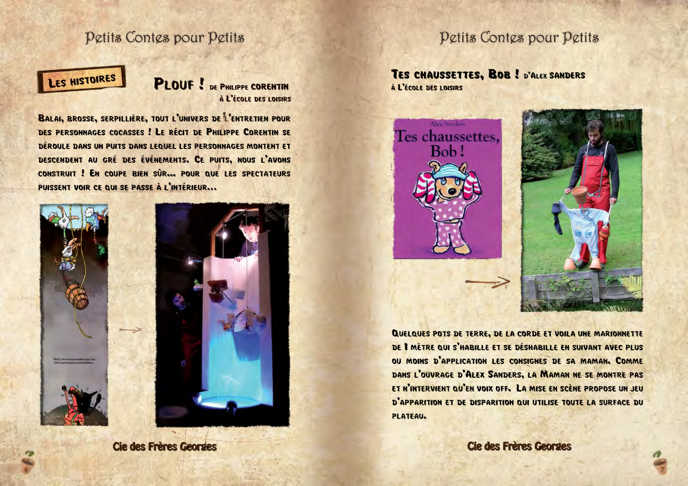## LES HISTOIRES

**PLOUF !** DE PHILIPPE CORENTIN À L'ÉCOLE DES LOISIRS

BALAI, BROSSE, SERPILLIÈRE, TOUT L'UNIVERS DE L'ENTRETIEN POUR DES PERSONNAGES COCASSES! LE RÉCIT DE PHILIPPE CORENTIN SE DÉROULE DANS UN PUITS DANS LEQUEL LES PERSONNAGES MONTENT ET DESCENDENT AU GRÉ DES ÉVÉNEMENTS. CE PUITS, NOUS L'AVONS CONSTRUIT ! EN COUPE BIEN SÛR... POUR QUE LES SPECTATEURS PUISSENT VOIR CE QUI SE PASSE À L'INTÉRIEUR...





**Cie des Frères Georges** 

### Petits Contes pour Petits

TES CHAUSSETTES, BOB ! D'ALEX SANDERS À L'ÉCOLE DES LOISIRS



QUELQUES POTS DE TERRE, DE LA CORDE ET VOILA UNE MARIONNETTE DE I MÈTRE QUI S'HABILLE ET SE DÉSHABILLE EN SUIVANT AVEC PLUS OU MOINS D'APPLICATION LES CONSIGNES DE SA MAMAN. COMME DANS L'OUVRAGE D'ALEX SANDERS, LA MAMAN NE SE MONTRE PAS ET N'INTERVIENT QU'EN VOIX OFF. LA MISE EN SCÈNE PROPOSE UN JEU D'APPARITION ET DE DISPARITION QUI UTILISE TOUTE LA SURFACE DU **PLATEAU.**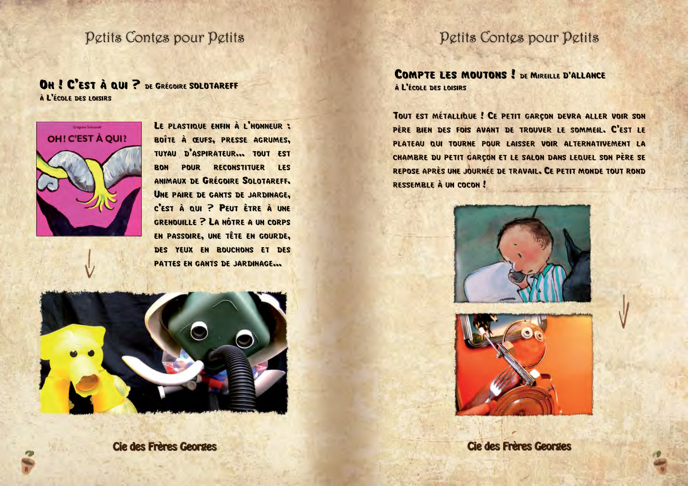#### OH ! C'EST À QUI ? DE GRÉCOIRE SOLOTAREFF

À L'ÉCOLE DES LOISIRS



LE PLASTIQUE ENFIN À L'HONNEUR : BOÎTE À ŒUFS, PRESSE AGRUMES, TUYAU D'ASPIRATEUR... TOUT EST BON POUR RECONSTITUER LES ANIMAUX DE GRÉGOIRE SOLOTAREFF. UNE PAIRE DE GANTS DE JARDINAGE. C'EST À QUI ? PEUT ÊTRE À UNE **GRENOUILLE ? LA NÔTRE A UN CORPS** EN PASSOIRE, UNE TÊTE EN GOURDE, DES YEUX EN BOUCHONS ET DES PATTES EN GANTS DE JARDINAGE...



Cie des Frères Georges

### Petits Contes pour Petits

**COMPTE LES MOUTONS ! DE MIREILLE D'ALLANCE** À L'ÉCOLE DES LOISIRS

TOUT EST MÉTALLIQUE ! CE PETIT GARÇON DEVRA ALLER VOIR SON PÈRE BIEN DES FOIS AVANT DE TROUVER LE SOMMEIL. C'EST LE PLATEAU QUI TOURNE POUR LAISSER VOIR ALTERNATIVEMENT LA CHAMBRE DU PETIT GARÇON ET LE SALON DANS LEQUEL SON PÈRE SE REPOSE APRÈS UNE JOURNÉE DE TRAVAIL. CE PETIT MONDE TOUT ROND RESSEMBLE À UN COCON!

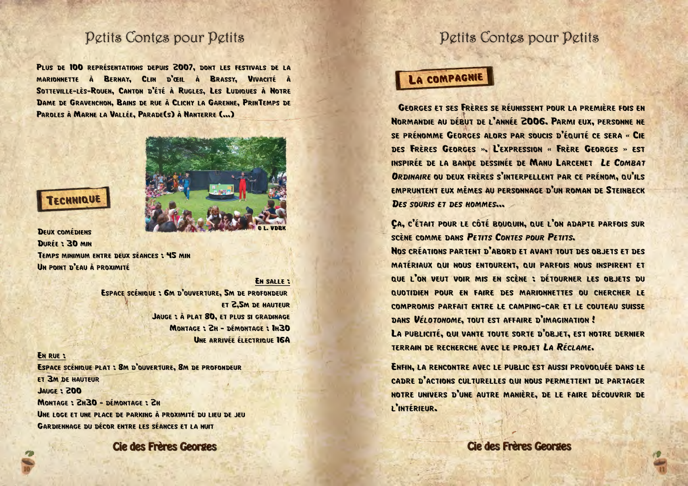PLUS DE 100 REPRÉSENTATIONS DEPUIS 2007, DONT LES FESTIVALS DE LA MARIONNETTE À BERNAY, CLIN D'ŒIL À BRASSY, VIVACITÉ À SOTTEVILLE-LÈS-ROUEN, CANTON D'ÉTÉ À RUGLES, LES LUDIQUES À NOTRE DAME DE GRAVENCHON, BAINS DE RUE À CLICHY LA GARENNE, PRINTEMPS DE PAROLES À MARNE LA VALLÉE, PARADE(S) À NANTERRE (...)



#### **DEUX COMÉDIENS** DURFF: 30 MIN TEMPS MINIMUM ENTRE DEUX SÉANCES : 45 MIN UN POINT D'EAU À PROXIMITÉ

**EN SALLE :** ESPACE SCÉNIQUE : 6M D'OUVERTURE. SM DE PROFONDEUR ET 2.5M DE HAUTEUR JAUGE : À PLAT 80, ET PLUS SI GRADINAGE MONTAGE: ZH - DÉMONTAGE: 1H30 UNE ARRIVÉE ÉLECTRIQUE 16A

#### **EN RUE :**

ESPACE SCÉNIQUE PLAT : 8M D'OUVERTURE, 8M DE PROFONDEUR **ET 3M DE HAUTEUR OOS: 3200L** MONTAGE: 2H30 - DÉMONTAGE: 2H UNE LOGE ET UNE PLACE DE PARKING À PROXIMITÉ DU LIEU DE JEU **GARDIFNNAGE DU DÉCOR ENTRE LES SÉANCES ET LA NUIT** 

**Cie des Frères Georges** 

#### Petits Contes pour Petits

#### **LA COMPAGNIE**

**GEORGES ET SES FRÈRES SE RÉUNISSENT POUR LA PREMIÈRE FOIS EN** NORMANDIE AU DÉBUT DE L'ANNÉE 2006. PARMI EUX. PERSONNE NE SE PRÉNOMME GEORGES ALORS PAR SOUCIS D'ÉQUITÉ CE SERA « CIE DES FRÈRES GEORGES », L'EXPRESSION « FRÈRE GEORGES » EST INSPIRÉE DE LA BANDE DESSINÉE DE MANU LARCENET LE COMBAT ORDINAIRE OU DEUX FRÈRES S'INTERPELLENT PAR CE PRÉNOM. QU'ILS EMPRUNTENT EUX MÊMES AU PERSONNAGE D'UN ROMAN DE STEINBECK **DES SOURIS ET DES HOMMES...** 

CA, C'ÉTAIT POUR LE CÔTÉ BOUQUIN, QUE L'ON ADAPTE PARFOIS SUR **SCÈNE COMME DANS PETITS CONTES POUR PETITS.** 

NOS CRÉATIONS PARTENT D'ABORD ET AVANT TOUT DES OBJETS ET DES MATÉRIAUX QUI NOUS ENTOURENT, QUI PARFOIS NOUS INSPIRENT ET QUE L'ON VEUT VOIR MIS EN SCÈNE : DÉTOURNER LES OBJETS DU QUOTIDIEN POUR EN FAIRE DES MARIONNETTES OU CHERCHER LE COMPROMIS PARFAIT ENTRE LE CAMPING-CAR ET LE COUTEAU SUISSE DANS VÉLOTONOME, TOUT EST AFFAIRE D'IMAGINATION!

LA PUBLICITÉ, QUI VANTE TOUTE SORTE D'OBJET, EST NOTRE DERNIER TERRAIN DE RECHERCHE AVEC LE PROJET LA RÉCLAME.

ENFIN, LA RENCONTRE AVEC LE PUBLIC EST AUSSI PROVOQUÉE DANS LE CADRE D'ACTIONS CULTURELLES QUI NOUS PERMETTENT DE PARTAGER NOTRE UNIVERS D'UNE AUTRE MANIÈRE. DE LE FAIRE DÉCOUVRIR DE I'INTÉRIFUR.